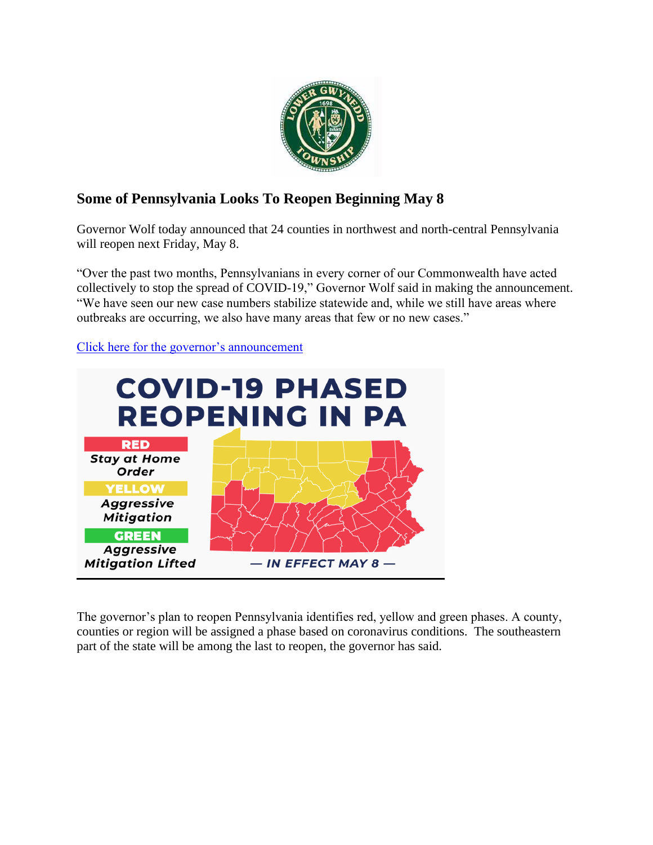

# **Some of Pennsylvania Looks To Reopen Beginning May 8**

Governor Wolf today announced that 24 counties in northwest and north-central Pennsylvania will reopen next Friday, May 8.

"Over the past two months, Pennsylvanians in every corner of our Commonwealth have acted collectively to stop the spread of COVID-19," Governor Wolf said in making the announcement. "We have seen our new case numbers stabilize statewide and, while we still have areas where outbreaks are occurring, we also have many areas that few or no new cases."

## [Click here for the governor's announcement](https://www.governor.pa.gov/newsroom/gov-wolf-announces-reopening-of-24-counties-beginning-may-8/)



The governor's plan to reopen Pennsylvania identifies red, yellow and green phases. A county, counties or region will be assigned a phase based on coronavirus conditions. The southeastern part of the state will be among the last to reopen, the governor has said.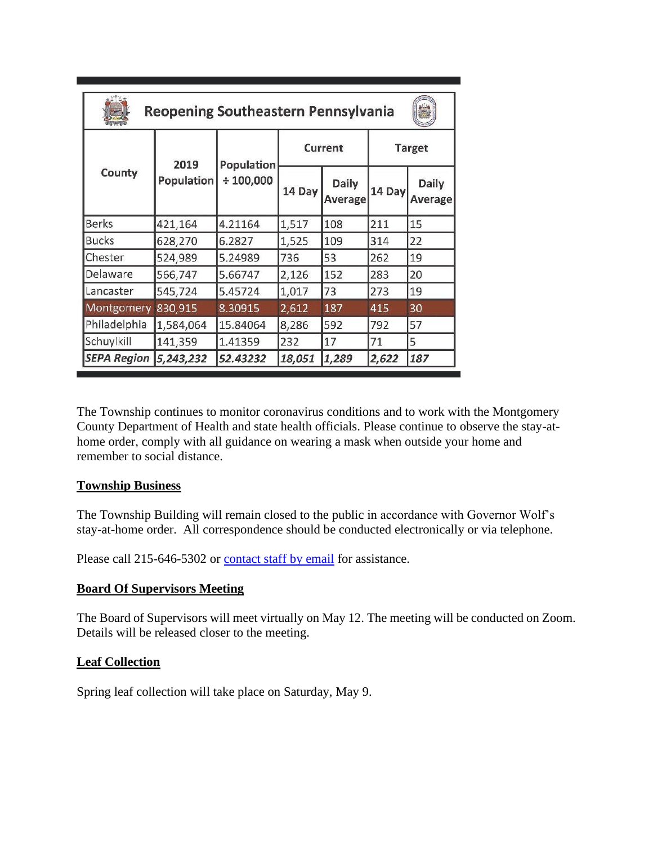| <b>Reopening Southeastern Pennsylvania</b> |                    |                              |                |                                |               |                         |
|--------------------------------------------|--------------------|------------------------------|----------------|--------------------------------|---------------|-------------------------|
| County                                     | 2019<br>Population | Population<br>$\div$ 100,000 | <b>Current</b> |                                | <b>Target</b> |                         |
|                                            |                    |                              | 14 Day         | <b>Daily</b><br><b>Average</b> | 14 Day        | Daily<br><b>Average</b> |
| <b>Berks</b>                               | 421,164            | 4.21164                      | 1,517          | 108                            | 211           | 15                      |
| <b>Bucks</b>                               | 628,270            | 6.2827                       | 1,525          | 109                            | 314           | 22                      |
| Chester                                    | 524,989            | 5.24989                      | 736            | 53                             | 262           | 19                      |
| Delaware                                   | 566,747            | 5.66747                      | 2,126          | 152                            | 283           | 20                      |
| Lancaster                                  | 545,724            | 5.45724                      | 1,017          | 73                             | 273           | 19                      |
| Montgomery                                 | 830,915            | 8.30915                      | 2,612          | 187                            | 415           | 30                      |
| Philadelphia                               | 1,584,064          | 15.84064                     | 8,286          | 592                            | 792           | 57                      |
| Schuylkill                                 | 141,359            | 1.41359                      | 232            | 17                             | 71            | 5                       |
| <b>SEPA Region</b>                         | 5,243,232          | 52.43232                     | 18,051         | 1,289                          | 2,622         | 187                     |

The Township continues to monitor coronavirus conditions and to work with the Montgomery County Department of Health and state health officials. Please continue to observe the stay-athome order, comply with all guidance on wearing a mask when outside your home and remember to social distance.

## **Township Business**

The Township Building will remain closed to the public in accordance with Governor Wolf's stay-at-home order. All correspondence should be conducted electronically or via telephone.

Please call 215-646-5302 or [contact staff by email](https://www.lowergwynedd.org/website-resources/contacts-directory.aspx) for assistance.

#### **Board Of Supervisors Meeting**

The Board of Supervisors will meet virtually on May 12. The meeting will be conducted on Zoom. Details will be released closer to the meeting.

#### **Leaf Collection**

Spring leaf collection will take place on Saturday, May 9.